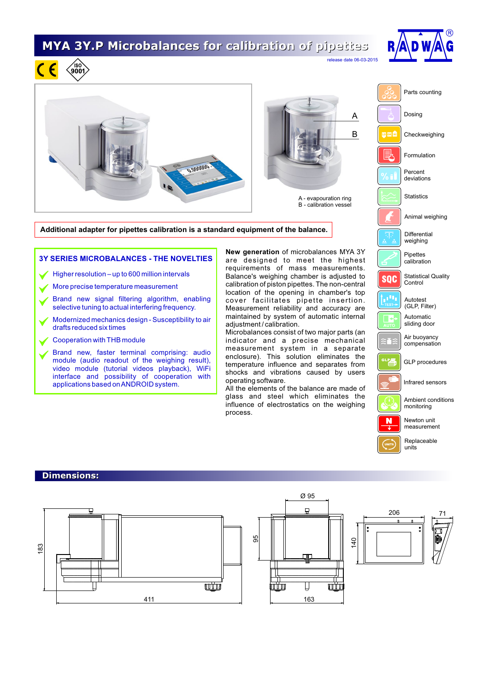## **MYA 3Y.P Microbalances for calibration of pipettes**



releate 06-03-2015



- Brand new signal filtering algorithm, enabling selective tuning to actual interfering frequency.
- Modernized mechanics design Susceptibility to air drafts reduced six times
- Cooperation with THB module

 $\sqrt{180}$ 

Brand new, faster terminal comprising: audio module (audio readout of the weighing result), video module (tutorial videos playback), WiFi interface and possibility of cooperation with applications based on ANDROID system.

location of the opening in chamber's top cover facilitates pipette insertion. Measurement reliability and accuracy are maintained by system of automatic internal adjustment / calibration.

Microbalances consist of two major parts (an indicator and a precise mechanical measurement system in a separate enclosure). This solution eliminates the temperature influence and separates from shocks and vibrations caused by users operating software.

All the elements of the balance are made of glass and steel which eliminates the influence of electrostatics on the weighing process.

والأور Autotest (GLP, Filter) Automatic sliding door Air buoyancy compensation

GLP procedures

Infrared sensors

Ambient conditions monitoring

Newton unit measurement

Replaceable units

## **Dimensions:**